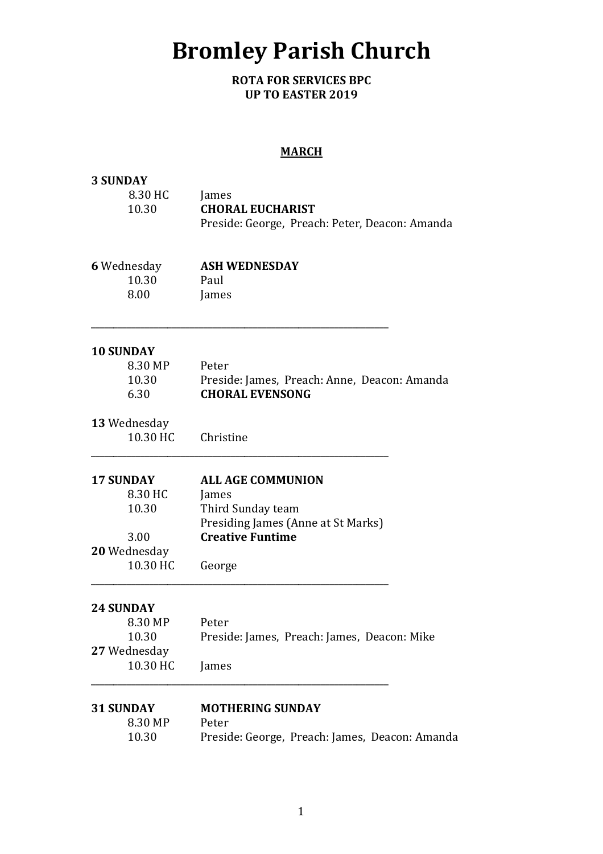# Bromley Parish Church

ROTA FOR SERVICES BPC UP TO EASTER 2019

### MARCH

| <b>3 SUNDAY</b>           |                                                                                    |  |  |  |
|---------------------------|------------------------------------------------------------------------------------|--|--|--|
| 8.30 HC                   | James<br><b>CHORAL EUCHARIST</b><br>Preside: George, Preach: Peter, Deacon: Amanda |  |  |  |
| 10.30                     |                                                                                    |  |  |  |
|                           |                                                                                    |  |  |  |
|                           |                                                                                    |  |  |  |
| <b>6 Wednesday</b>        | <b>ASH WEDNESDAY</b>                                                               |  |  |  |
| 10.30                     | Paul                                                                               |  |  |  |
| 8.00                      | James                                                                              |  |  |  |
| <b>10 SUNDAY</b>          |                                                                                    |  |  |  |
| 8.30 MP                   | Peter                                                                              |  |  |  |
| 10.30                     | Preside: James, Preach: Anne, Deacon: Amanda                                       |  |  |  |
| 6.30                      | <b>CHORAL EVENSONG</b>                                                             |  |  |  |
| 13 Wednesday              |                                                                                    |  |  |  |
| 10.30 HC                  | Christine                                                                          |  |  |  |
| <b>17 SUNDAY</b>          | <b>ALL AGE COMMUNION</b>                                                           |  |  |  |
| 8.30 HC                   | James                                                                              |  |  |  |
| 10.30                     | Third Sunday team                                                                  |  |  |  |
|                           | Presiding James (Anne at St Marks)                                                 |  |  |  |
| 3.00                      | <b>Creative Funtime</b>                                                            |  |  |  |
| 20 Wednesday              |                                                                                    |  |  |  |
| 10.30 HC                  | George                                                                             |  |  |  |
| <b>24 SUNDAY</b>          |                                                                                    |  |  |  |
| 8.30 MP                   | Peter                                                                              |  |  |  |
| 10.30                     | Preside: James, Preach: James, Deacon: Mike                                        |  |  |  |
| 27 Wednesday              |                                                                                    |  |  |  |
| 10.30 HC                  | James                                                                              |  |  |  |
|                           |                                                                                    |  |  |  |
| <b>31 SUNDAY</b>          | <b>MOTHERING SUNDAY</b>                                                            |  |  |  |
| 8.30 MP<br>Peter<br>10.30 |                                                                                    |  |  |  |
|                           | Preside: George, Preach: James, Deacon: Amanda                                     |  |  |  |